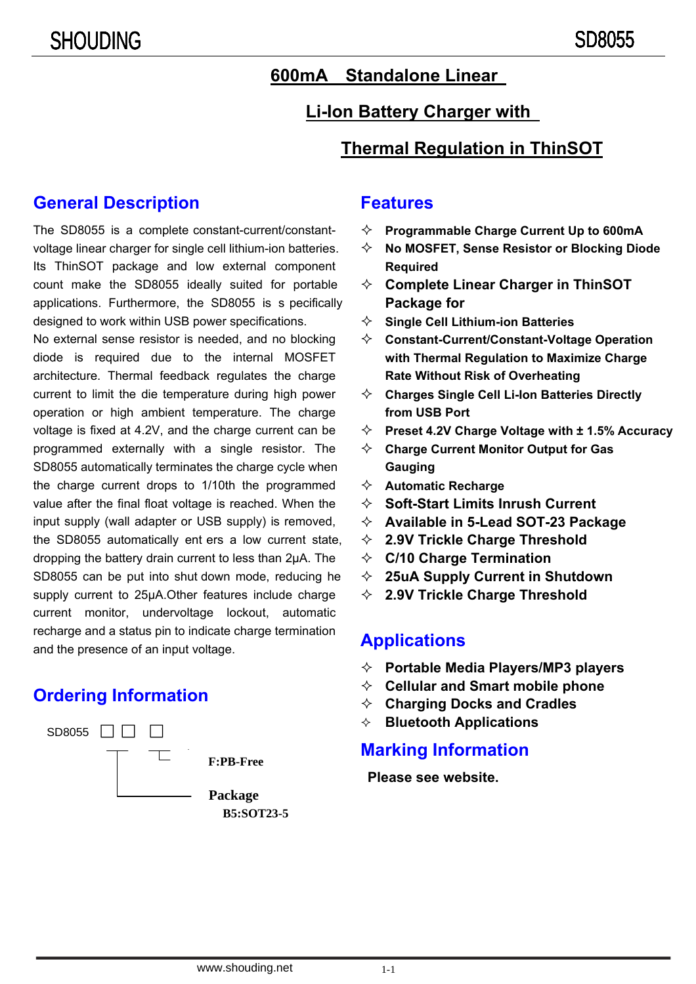# **600mA Standalone Linear**

### **Li-Ion Battery Charger with**

# **Thermal Regulation in ThinSOT**

### **General Description**

applications. Furthermore, the SD8055 is s pecifically count make the SD8055 ideally suited for portable The SD8055 is a complete constant-current/constantvoltage linear charger for single cell lithium-ion batteries. Its ThinSOT package and low external component designed to work within USB power specifications.

SD8055 automatically terminates the charge cycle when SD8055 can be put into shut down mode, reducing he the SD8055 automatically ent ers a low current state, No external sense resistor is needed, and no blocking diode is required due to the internal MOSFET architecture. Thermal feedback regulates the charge current to limit the die temperature during high power operation or high ambient temperature. The charge voltage is fixed at 4.2V, and the charge current can be programmed externally with a single resistor. The the charge current drops to 1/10th the programmed value after the final float voltage is reached. When the input supply (wall adapter or USB supply) is removed, dropping the battery drain current to less than 2µA. The supply current to 25µA.Other features include charge current monitor, undervoltage lockout, automatic recharge and a status pin to indicate charge termination and the presence of an input voltage.

# **Ordering Information**



### **Features**

- **Programmable Charge Current Up to 600mA**
- **No MOSFET, Sense Resistor or Blocking Diode Required**
- **Complete Linear Charger in ThinSOT Package for**
- **Single Cell Lithium-ion Batteries**
- **Constant-Current/Constant-Voltage Operation with Thermal Regulation to Maximize Charge Rate Without Risk of Overheating**
- **Charges Single Cell Li-Ion Batteries Directly from USB Port**
- **Preset 4.2V Charge Voltage with ± 1.5% Accuracy**
- **Charge Current Monitor Output for Gas Gauging**
- **Automatic Recharge**
- **Soft-Start Limits Inrush Current**
- **Available in 5-Lead SOT-23 Package**
- **2.9V Trickle Charge Threshold**
- **C/10 Charge Termination**
- **25uA Supply Current in Shutdown**
- **2.9V Trickle Charge Threshold**

# **Applications**

- **Portable Media Players/MP3 players**
- **Cellular and Smart mobile phone**
- **Charging Docks and Cradles**
- **Bluetooth Applications**

### **Marking Information**

 **Please see website.**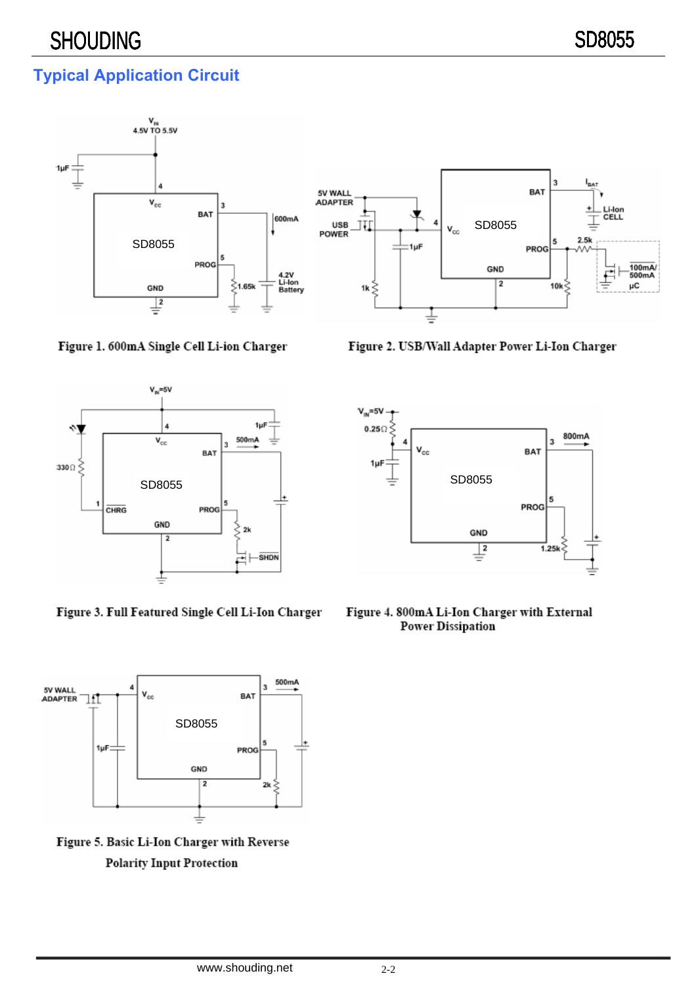# **Typical Application Circuit**





Figure 1. 600mA Single Cell Li-ion Charger



Figure 3. Full Featured Single Cell Li-Ion Charger



Figure 5. Basic Li-Ion Charger with Reverse **Polarity Input Protection** 

Figure 2. USB/Wall Adapter Power Li-Ion Charger



Figure 4. 800mA Li-Ion Charger with External **Power Dissipation**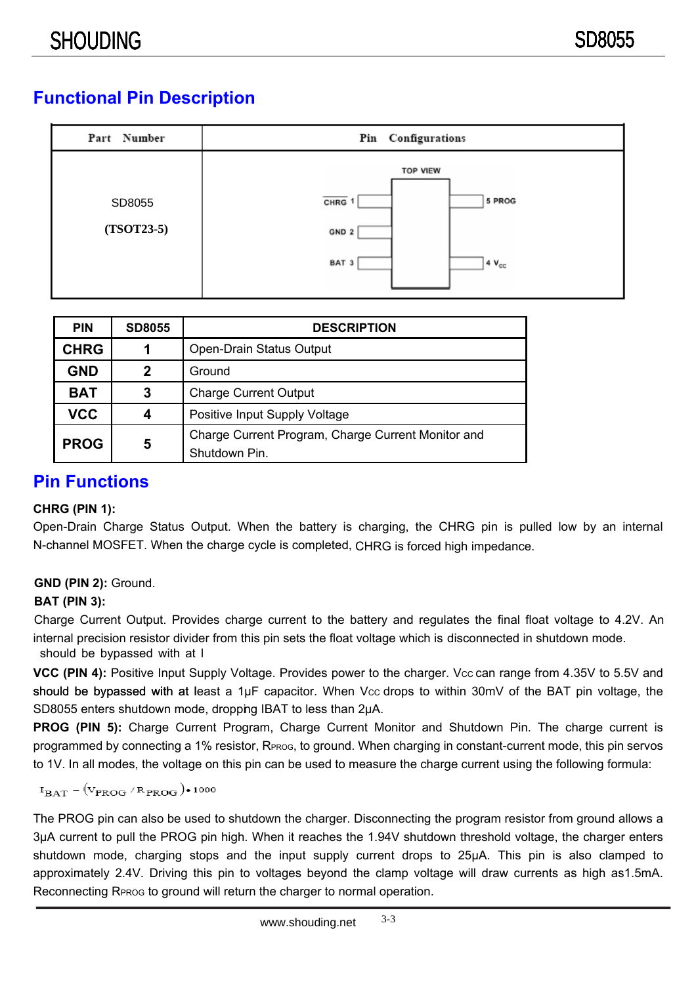# **Functional Pin Description**



| <b>PIN</b>  | <b>SD8055</b> | <b>DESCRIPTION</b>                                 |  |  |  |
|-------------|---------------|----------------------------------------------------|--|--|--|
| <b>CHRG</b> | 1             | Open-Drain Status Output                           |  |  |  |
| <b>GND</b>  | 2<br>Ground   |                                                    |  |  |  |
| <b>BAT</b>  | 3             | <b>Charge Current Output</b>                       |  |  |  |
| <b>VCC</b>  | 4             | Positive Input Supply Voltage                      |  |  |  |
| <b>PROG</b> | 5             | Charge Current Program, Charge Current Monitor and |  |  |  |
|             |               | Shutdown Pin.                                      |  |  |  |

### **Pin Functions**

### **CHRG (PIN 1):**

Open-Drain Charge Status Output. When the battery is charging, the CHRG pin is pulled low by an internal N-channel MOSFET. When the charge cycle is completed, CHRG is forced high impedance.

### **GND (PIN 2):** Ground.

### **BAT (PIN 3):**

Charge Current Output. Provides charge current to the battery and regulates the final float voltage to 4.2V. An internal precision resistor divider from this pin sets the float voltage which is disconnected in shutdown mode. should be bypassed with at l

SD8055 enters shutdown mode, dropping IBAT to less than 2µA. **VCC (PIN 4):** Positive Input Supply Voltage. Provides power to the charger. Vcc can range from 4.35V to 5.5V and should be bypassed with at least a 1µF capacitor. When Vcc drops to within 30mV of the BAT pin voltage, the

**PROG (PIN 5):** Charge Current Program, Charge Current Monitor and Shutdown Pin. The charge current is programmed by connecting a 1% resistor, RPROG, to ground. When charging in constant-current mode, this pin servos to 1V. In all modes, the voltage on this pin can be used to measure the charge current using the following formula:

### $I_{BAT} = (V_{PROG} / R_{PROG}) \cdot 1000$

The PROG pin can also be used to shutdown the charger. Disconnecting the program resistor from ground allows a 3µA current to pull the PROG pin high. When it reaches the 1.94V shutdown threshold voltage, the charger enters shutdown mode, charging stops and the input supply current drops to 25µA. This pin is also clamped to approximately 2.4V. Driving this pin to voltages beyond the clamp voltage will draw currents as high as1.5mA. Reconnecting RPROG to ground will return the charger to normal operation.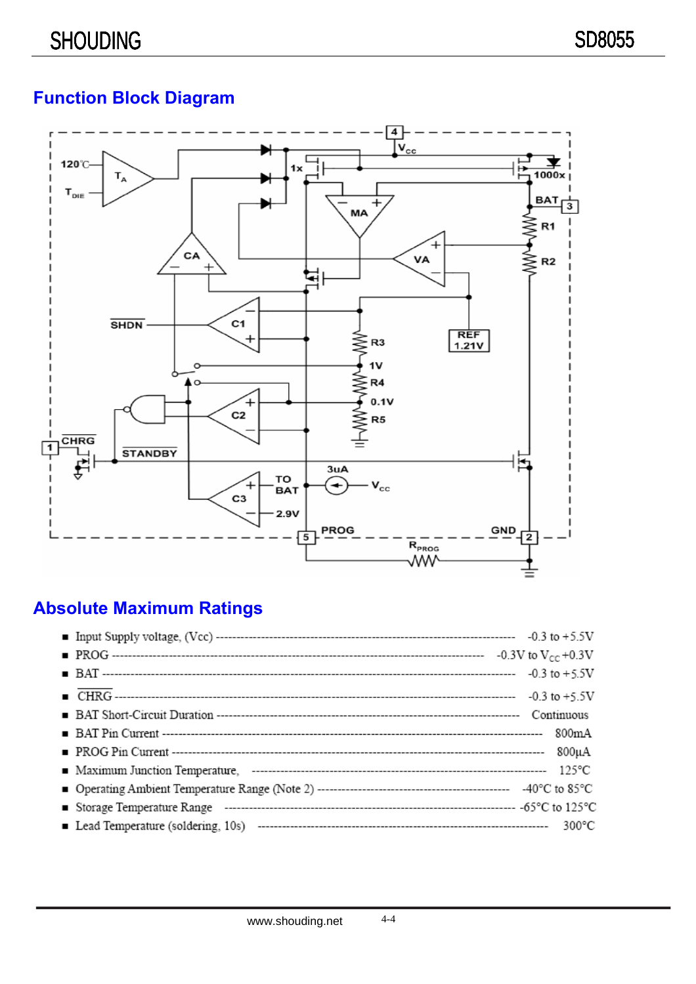# **Function Block Diagram**



# **Absolute Maximum Ratings**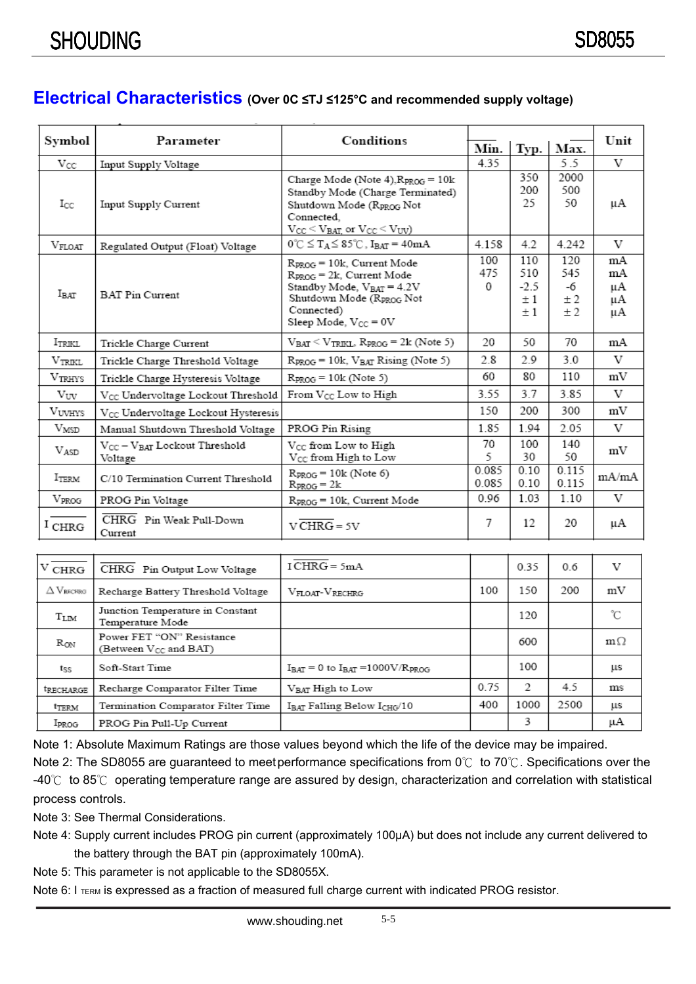### **Electrical Characteristics (Over 0C ≤TJ ≤125°C and recommended supply voltage)**

| Symbol             | Parameter                                       | Conditions                                                                                                                                                                      | Min.                   |                                       | Typ.   Max.                  | Unit                       |
|--------------------|-------------------------------------------------|---------------------------------------------------------------------------------------------------------------------------------------------------------------------------------|------------------------|---------------------------------------|------------------------------|----------------------------|
| $V_{CC}$           | Input Supply Voltage                            |                                                                                                                                                                                 | 435                    |                                       | 5.5                          | V                          |
| $_{\rm{LCC}}$      | Input Supply Current                            | Charge Mode (Note 4), $R_{PROG} = 10k$<br>Standby Mode (Charge Terminated)<br>Shutdown Mode (RpROG Not<br>Connected.<br>$V_{CC}$ $\leq$ $V_{BAT}$ or $V_{CC}$ $\leq$ $V_{UV}$ ) |                        | 350<br>200<br>25                      | 2000<br>500<br>50            | μA                         |
| $V_{\text{FLOAT}}$ | Regulated Output (Float) Voltage                | $0^{\circ}$ C $\leq$ T <sub>A</sub> $\leq$ 85 $^{\circ}$ C, I <sub>BAT</sub> = 40mA                                                                                             | 4.158                  | 4.2                                   | 4.242                        | V                          |
| $I_{\text{BAT}}$   | <b>BAT Pin Current</b>                          | $R_{PROG} = 10k$ , Current Mode<br>$R_{PROG}$ = 2k, Current Mode<br>Standby Mode, $V_{BAT} = 4.2V$<br>Shutdown Mode (RpgoG Not<br>Connected)<br>Sleep Mode, $V_{CC} = 0V$       | 100<br>475<br>$\Omega$ | 110<br>510<br>$-2.5$<br>$\pm 1$<br>±1 | 120<br>545<br>-6<br>±2<br>±2 | mA<br>mA<br>μA<br>μA<br>μA |
| ITRIKL             | Trickle Charge Current                          | $V_{BAT}$ < $V_{TRIKL}$ , $R_{PROG}$ = 2k (Note 5)                                                                                                                              | 20                     | 50                                    | 70                           | mA                         |
| VTRIKL             | Trickle Charge Threshold Voltage                | $R_{PROG} = 10k$ , $V_{BAT}$ Rising (Note 5)                                                                                                                                    | 2.8                    | 29                                    | 3.0                          | V                          |
| <b>VTRHYS</b>      | Trickle Charge Hysteresis Voltage               | $R_{PROG} = 10k$ (Note 5)                                                                                                                                                       | 60                     | 80                                    | 110                          | mV                         |
| Vuv                | V <sub>CC</sub> Undervoltage Lockout Threshold  | From $V_{CC}$ Low to High                                                                                                                                                       | 3.55                   | 37                                    | 385                          | V                          |
| VUVHYS             | V <sub>CC</sub> Undervoltage Lockout Hysteresis |                                                                                                                                                                                 | 150                    | 200                                   | 300                          | mV                         |
| $V_{\rm MSD}$      | Manual Shutdown Threshold Voltage               | PROG Pin Rising                                                                                                                                                                 | 1.85                   | 1.94                                  | 2.05                         | V                          |
| VASD               | $V_{CC} - V_{BAT}$ Lockout Threshold<br>Voltage | $V_{CC}$ from Low to High<br>$V_{CC}$ from High to Low                                                                                                                          | 70<br>5.               | 100<br>30                             | 140<br>50                    | mV                         |
| ITERM              | C/10 Termination Current Threshold              | $R_{PROG} = 10k$ (Note 6)<br>$R_{PROG} = 2k$                                                                                                                                    | 0.085<br>0.085         | 0.10<br>0.10                          | 0.115<br>0.115               | mA/mA                      |
| V <sub>PROG</sub>  | PROG Pin Voltage                                | $R_{PROG} = 10k$ , Current Mode                                                                                                                                                 | 0.96                   | 1.03                                  | 1.10                         | V                          |
| $I$ CHRG           | CHRG Pin Weak Pull-Down<br>Current              | $VCHRG = 5V$                                                                                                                                                                    | 7                      | 12 <sub>12</sub>                      | 20                           | μA                         |

| $\rm ^V$ CHRG          | CHRG Pin Output Low Voltage                             | $ICHRG = 5mA$                                                            |      | 0.35 | 0.6  | v         |
|------------------------|---------------------------------------------------------|--------------------------------------------------------------------------|------|------|------|-----------|
| $\Delta \rm{V}$ rechro | Recharge Battery Threshold Voltage                      | VFLOAT-VRECHRG                                                           | 100  | 150  | 200  | mV        |
| $T_{LM}$               | Junction Temperature in Constant<br>Temperature Mode    |                                                                          |      | 120  |      | $\sim$    |
| $R_{ON}$               | Power FET "ON" Resistance<br>(Between $V_{CC}$ and BAT) |                                                                          |      | 600  |      | $m\Omega$ |
| tss                    | Soft-Start Time                                         | $I_{\text{BAT}} = 0$ to $I_{\text{BAT}} = 1000 \text{V/R}_{\text{PROG}}$ |      | 100  |      | μs        |
| <sup>t</sup> RECHARGE  | Recharge Comparator Filter Time                         | $\rm V_{BAT}$ High to Low                                                | 0.75 | 2    | 4.5  | ms        |
| $t_{\rm TERM}$         | Termination Comparator Filter Time                      | $I_{BAT}$ Falling Below $I_{CHG}/10$                                     | 400  | 1000 | 2500 | μs        |
| IPROG                  | PROG Pin Pull-Up Current                                |                                                                          |      | 3    |      | μA        |

Note 2: The SD8055 are guaranteed to meet performance specifications from 0℃ to 70℃. Specifications over the Note 1: Absolute Maximum Ratings are those values beyond which the life of the device may be impaired.

-40℃ to 85℃ operating temperature range are assured by design, characterization and correlation with statistical process controls.

Note 3: See Thermal Considerations.

Note 4: Supply current includes PROG pin current (approximately 100µA) but does not include any current delivered to the battery through the BAT pin (approximately 100mA).

Note 5: This parameter is not applicable to the SD8055X.

Note 6: I TERM is expressed as a fraction of measured full charge current with indicated PROG resistor.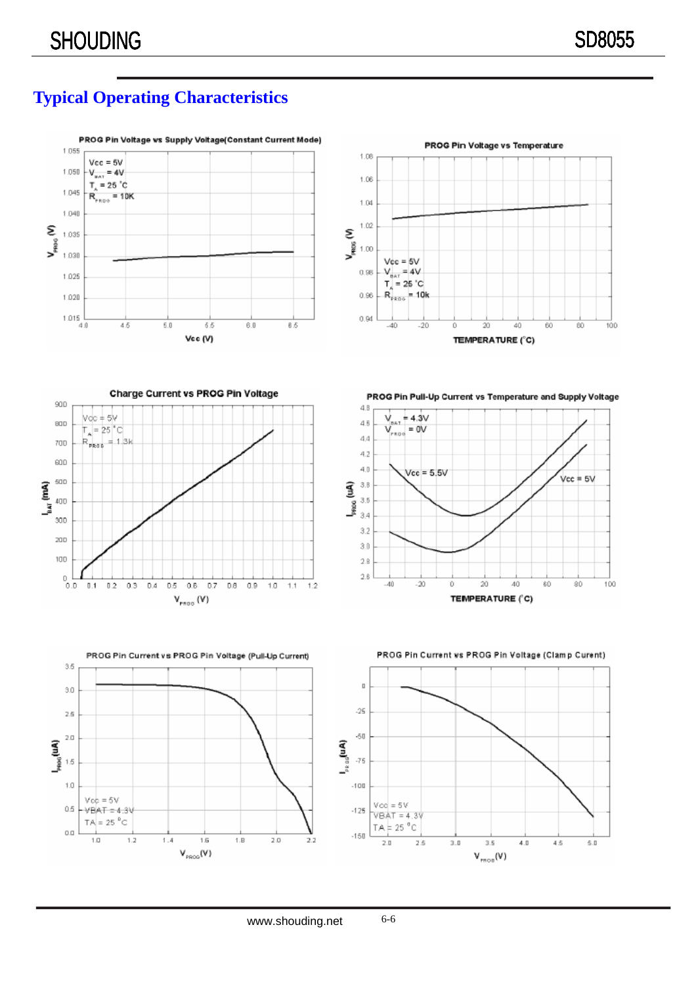# **Typical Operating Characteristics**





Charge Current vs PROG Pin Voltage 900  $\vee \infty + 5\vee$ 80D  $T_A = 25^{\circ}$ C 700  $R_{\text{prab}} = 1.3k$ 600 500  $\frac{1}{\ln A}$  (mA) 400 300 200 100  $^{0}$ .  $0.1$  $0.2$ 0.3  $D.A$ 0.5 0.8 0.7 D.S.  $0.9$ 10.  $1.1$  $1.2$  $V_{\rm rms}$  (V)

PROG Pin Pull-Up Current vs Temperature and Supply Voltage







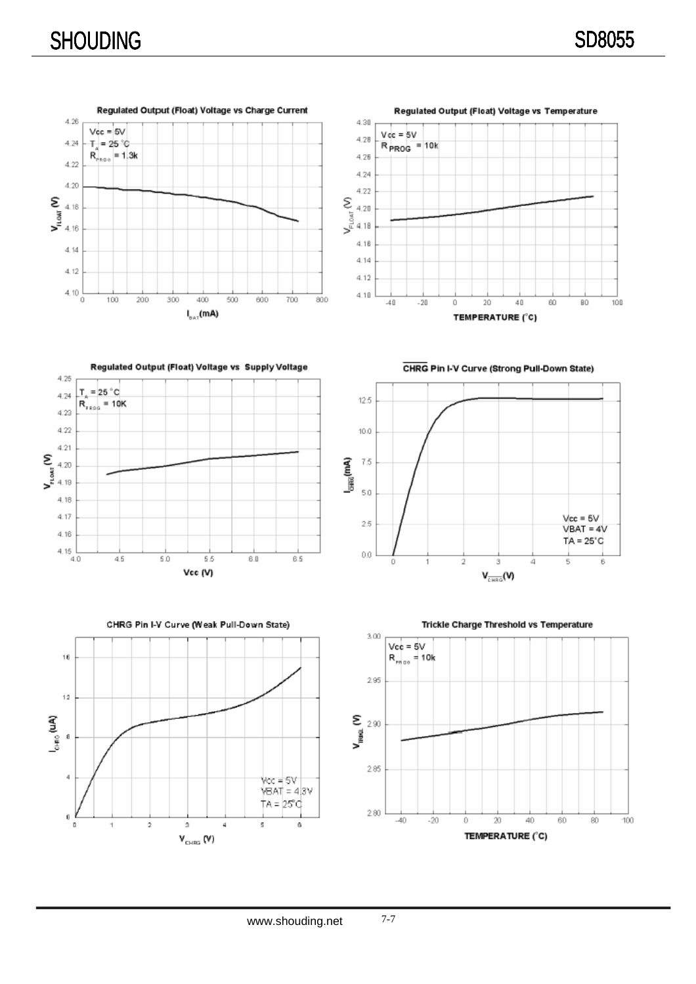$\frac{1}{100}$ 





CHRG Pin I-V Curve (Strong Pull-Down State)





Trickle Charge Threshold vs Temperature

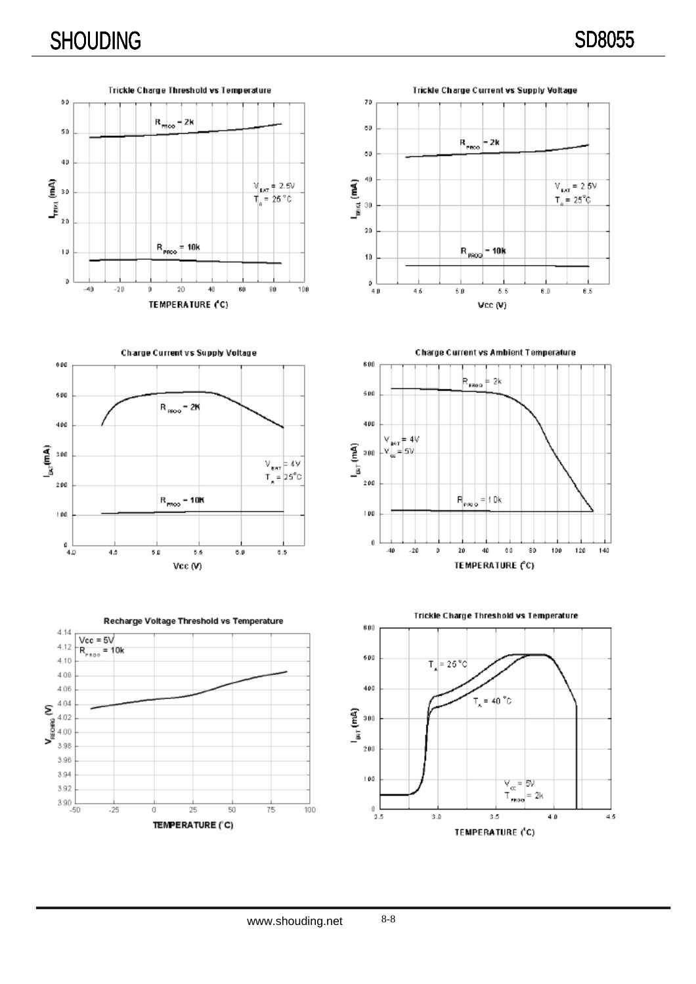









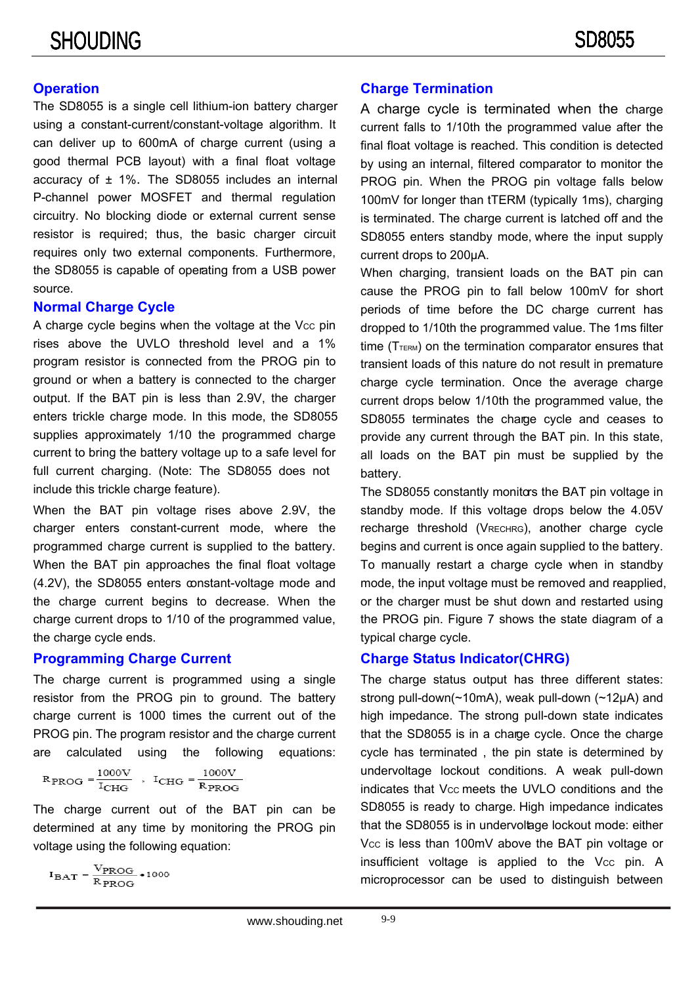### **Operation**

the SD8055 is capable of operating from a USB power accuracy of  $\pm$  1%. The SD8055 includes an internal The SD8055 is a single cell lithium-ion battery charger using a constant-current/constant-voltage algorithm. It can deliver up to 600mA of charge current (using a good thermal PCB layout) with a final float voltage P-channel power MOSFET and thermal regulation circuitry. No blocking diode or external current sense resistor is required; thus, the basic charger circuit requires only two external components. Furthermore, source.

#### **Normal Charge Cycle**

enters trickle charge mode. In this mode, the SD8055 full current charging. (Note: The SD8055 does not A charge cycle begins when the voltage at the Vcc pin rises above the UVLO threshold level and a 1% program resistor is connected from the PROG pin to ground or when a battery is connected to the charger output. If the BAT pin is less than 2.9V, the charger supplies approximately 1/10 the programmed charge current to bring the battery voltage up to a safe level for include this trickle charge feature).

(4.2V), the SD8055 enters c onstant-voltage mode and When the BAT pin voltage rises above 2.9V, the charger enters constant-current mode, where the programmed charge current is supplied to the battery. When the BAT pin approaches the final float voltage the charge current begins to decrease. When the charge current drops to 1/10 of the programmed value, the charge cycle ends.

#### **Programming Charge Current**

The charge current is programmed using a single resistor from the PROG pin to ground. The battery charge current is 1000 times the current out of the PROG pin. The program resistor and the charge current are calculated using the following equations:

$$
R_{PROG} = \frac{1000V}{I_{CHG}} \quad , \quad I_{CHG} = \frac{1000V}{R_{PROG}}
$$

The charge current out of the BAT pin can be determined at any time by monitoring the PROG pin voltage using the following equation:

$$
I_{\text{BAT}} = \frac{V_{\text{PROG}}}{R_{\text{PROG}}}\bullet 1000
$$

#### **Charge Termination**

SD8055 enters standby mode, where the input supply A charge cycle is terminated when the charge current falls to 1/10th the programmed value after the final float voltage is reached. This condition is detected by using an internal, filtered comparator to monitor the PROG pin. When the PROG pin voltage falls below 100mV for longer than tTERM (typically 1ms), charging is terminated. The charge current is latched off and the current drops to 200µA.

SD8055 terminates the char ge cycle and ceases to When charging, transient loads on the BAT pin can cause the PROG pin to fall below 100mV for short periods of time before the DC charge current has dropped to 1/10th the programmed value. The 1ms filter time  $(T_{TERM})$  on the termination comparator ensures that transient loads of this nature do not result in premature charge cycle termination. Once the average charge current drops below 1/10th the programmed value, the provide any current through the BAT pin. In this state, all loads on the BAT pin must be supplied by the battery.

The SD8055 constantly monitors the BAT pin voltage in standby mode. If this voltage drops below the 4.05V recharge threshold (VRECHRG), another charge cycle begins and current is once again supplied to the battery. To manually restart a charge cycle when in standby mode, the input voltage must be removed and reapplied, or the charger must be shut down and restarted using the PROG pin. Figure 7 shows the state diagram of a typical charge cycle.

### **Charge Status Indicator(CHRG)**

that the SD8055 is in undervollage lockout mode: either that the SD8055 is in a char ge cycle. Once the charge SD8055 is ready to charge. High impedance indicates The charge status output has three different states: strong pull-down(~10mA), weak pull-down (~12µA) and high impedance. The strong pull-down state indicates cycle has terminated , the pin state is determined by undervoltage lockout conditions. A weak pull-down indicates that V<sub>cc</sub> meets the UVLO conditions and the Vcc is less than 100mV above the BAT pin voltage or insufficient voltage is applied to the Vcc pin. A microprocessor can be used to distinguish between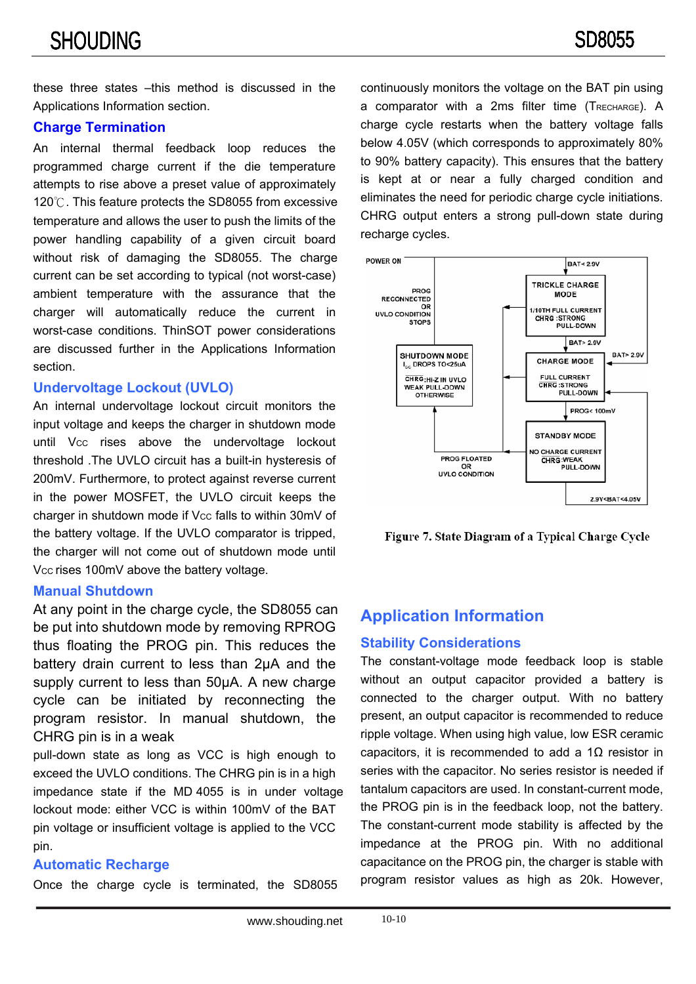these three states –this method is discussed in the Applications Information section.

### **Charge Termination**

120℃. This feature protects the SD8055 from excessive without risk of damaging the SD8055. The charge An internal thermal feedback loop reduces the programmed charge current if the die temperature attempts to rise above a preset value of approximately temperature and allows the user to push the limits of the power handling capability of a given circuit board current can be set according to typical (not worst-case) ambient temperature with the assurance that the charger will automatically reduce the current in worst-case conditions. ThinSOT power considerations are discussed further in the Applications Information section.

### **Undervoltage Lockout (UVLO)**

An internal undervoltage lockout circuit monitors the input voltage and keeps the charger in shutdown mode until Vcc rises above the undervoltage lockout threshold .The UVLO circuit has a built-in hysteresis of 200mV. Furthermore, to protect against reverse current in the power MOSFET, the UVLO circuit keeps the charger in shutdown mode if Vcc falls to within 30mV of the battery voltage. If the UVLO comparator is tripped, the charger will not come out of shutdown mode until Vcc rises 100mV above the battery voltage.

### **Manual Shutdown**

At any point in the charge cycle, the SD8055 can be put into shutdown mode by removing RPROG thus floating the PROG pin. This reduces the battery drain current to less than 2µA and the supply current to less than 50µA. A new charge cycle can be initiated by reconnecting the program resistor. In manual shutdown, the CHRG pin is in a weak

pull-down state as long as VCC is high enough to exceed the UVLO conditions. The CHRG pin is in a high impedance state if the MD 4055 is in under voltage lockout mode: either VCC is within 100mV of the BAT pin voltage or insufficient voltage is applied to the VCC pin.

### **Automatic Recharge**

Once the charge cycle is terminated, the SD8055

continuously monitors the voltage on the BAT pin using a comparator with a 2ms filter time (TRECHARGE). A charge cycle restarts when the battery voltage falls below 4.05V (which corresponds to approximately 80% to 90% battery capacity). This ensures that the battery is kept at or near a fully charged condition and eliminates the need for periodic charge cycle initiations. CHRG output enters a strong pull-down state during recharge cycles.



Figure 7. State Diagram of a Typical Charge Cycle

# **Application Information**

### **Stability Considerations**

The constant-voltage mode feedback loop is stable without an output capacitor provided a battery is connected to the charger output. With no battery present, an output capacitor is recommended to reduce ripple voltage. When using high value, low ESR ceramic capacitors, it is recommended to add a  $1\Omega$  resistor in series with the capacitor. No series resistor is needed if tantalum capacitors are used. In constant-current mode, the PROG pin is in the feedback loop, not the battery. The constant-current mode stability is affected by the impedance at the PROG pin. With no additional capacitance on the PROG pin, the charger is stable with program resistor values as high as 20k. However,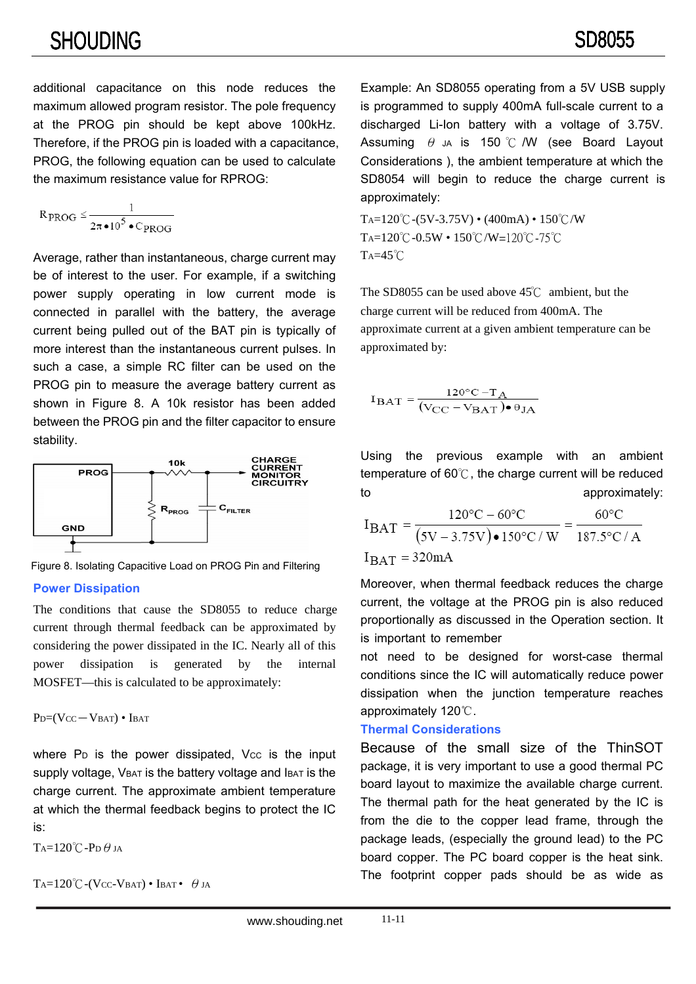additional capacitance on this node reduces the maximum allowed program resistor. The pole frequency at the PROG pin should be kept above 100kHz. Therefore, if the PROG pin is loaded with a capacitance, PROG, the following equation can be used to calculate the maximum resistance value for RPROG:

$$
R_{PROG} \leq \frac{1}{2\pi \bullet 10^5 \bullet \mathrm{C}_{PROG}}
$$

Average, rather than instantaneous, charge current may be of interest to the user. For example, if a switching power supply operating in low current mode is connected in parallel with the battery, the average current being pulled out of the BAT pin is typically of more interest than the instantaneous current pulses. In such a case, a simple RC filter can be used on the PROG pin to measure the average battery current as shown in Figure 8. A 10k resistor has been added between the PROG pin and the filter capacitor to ensure stability.



Figure 8. Isolating Capacitive Load on PROG Pin and Filtering

#### **Power Dissipation**

The conditions that cause the SD8055 to reduce charge current through thermal feedback can be approximated by considering the power dissipated in the IC. Nearly all of this power dissipation is generated by the internal MOSFET—this is calculated to be approximately:

 $P_D=(V_{CC}-V_{BAT}) \cdot I_{BAT}$ 

where  $P<sub>D</sub>$  is the power dissipated, V $cc$  is the input supply voltage, VBAT is the battery voltage and IBAT is the charge current. The approximate ambient temperature at which the thermal feedback begins to protect the IC is:

 $Ta=120^{\circ}C$ -PD $\theta$  ja

 $TA=120^{\circ}C$  -(VCC-VBAT) • IBAT •  $\theta$  JA

SD8054 will begin to reduce the charge current is Example: An SD8055 operating from a 5V USB supply is programmed to supply 400mA full-scale current to a discharged Li-Ion battery with a voltage of 3.75V. Assuming  $\theta$  JA is 150 °C /W (see Board Layout Considerations ), the ambient temperature at which the approximately:

T<sub>A</sub>=120°C-(5V-3.75V) • (400mA) • 150°C/W TA=120℃-0.5W • 150℃/W=120℃-75℃  $Ta=45^\circ C$ 

The SD8055 can be used above 45 ℃ ambient, but the charge current will be reduced from 400mA. The approximate current at a given ambient temperature can be approximated by:

$$
I_{\text{BAT}} = \frac{120\degree\text{C} - \text{T}_{\text{A}}}{(\text{V}_{\text{CC}} - \text{V}_{\text{BAT}}) \bullet \theta_{\text{JA}}}
$$

Using the previous example with an ambient temperature of 60℃, the charge current will be reduced to approximately:

$$
I_{BAT} = \frac{120\degree C - 60\degree C}{(5V - 3.75V) \cdot 150\degree C / W} = \frac{60\degree C}{187.5\degree C / A}
$$
  
I<sub>BAT</sub> = 320mA

Moreover, when thermal feedback reduces the charge current, the voltage at the PROG pin is also reduced proportionally as discussed in the Operation section. It is important to remember

not need to be designed for worst-case thermal conditions since the IC will automatically reduce power dissipation when the junction temperature reaches approximately 120℃.

### **Thermal Considerations**

Because of the small size of the ThinSOT package, it is very important to use a good thermal PC board layout to maximize the available charge current. The thermal path for the heat generated by the IC is from the die to the copper lead frame, through the package leads, (especially the ground lead) to the PC board copper. The PC board copper is the heat sink. The footprint copper pads should be as wide as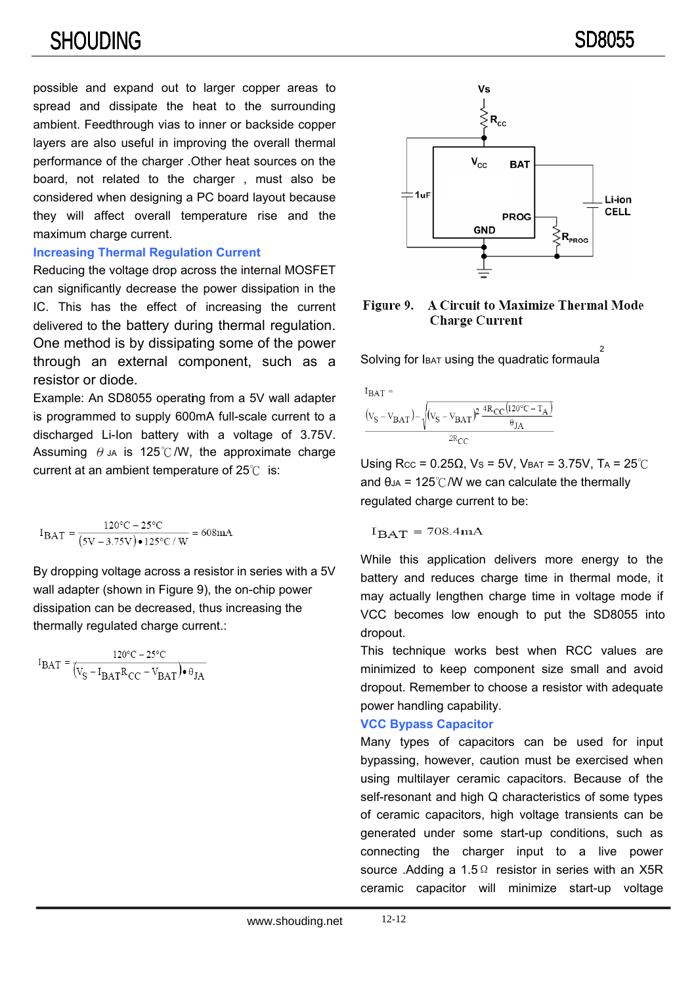# SHOUDING SOBOSSES IN THE SOLUTION OF SPACE SOME SOBOSSES

possible and expand out to larger copper areas to spread and dissipate the heat to the surrounding ambient. Feedthrough vias to inner or backside copper layers are also useful in improving the overall thermal performance of the charger .Other heat sources on the board, not related to the charger , must also be considered when designing a PC board layout because they will affect overall temperature rise and the maximum charge current.

#### **Increasing Thermal Regulation Current**

Reducing the voltage drop across the internal MOSFET can significantly decrease the power dissipation in the IC. This has the effect of increasing the current delivered to the battery during thermal regulation. One method is by dissipating some of the power through an external component, such as a resistor or diode.

Example: An SD8055 operating from a 5V wall adapter is programmed to supply 600mA full-scale current to a discharged Li-Ion battery with a voltage of 3.75V. Assuming  $\theta$  JA is 125°C/W, the approximate charge current at an ambient temperature of 25℃ is:

$$
I_{BAT} = \frac{120\degree C - 25\degree C}{(5V - 3.75V) \cdot 125\degree C / W} = 608 \text{mA}
$$

By dropping voltage across a resistor in series with a 5V wall adapter (shown in Figure 9), the on-chip power dissipation can be decreased, thus increasing the thermally regulated charge current.:

$$
\mathbf{I}_{\mathrm{BAT}} = \frac{120^{\circ}\mathrm{C} - 25^{\circ}\mathrm{C}}{\left(\mathrm{V}_{\mathrm{S}} - \mathrm{I}_{\mathrm{BAT}}\mathrm{R}_{\mathrm{CC}} - \mathrm{V}_{\mathrm{BAT}}\right)\bullet\theta_{\mathrm{JA}}}
$$



Figure 9. A Circuit to Maximize Thermal Mode **Charge Current** 

ء<br>Solving for Iвдт using the quadratic formaula



Using Rcc = 0.25Ω, Vs = 5V, VBAT = 3.75V, TA =  $25^{\circ}$ C and  $\theta_{JA}$  = 125°C/W we can calculate the thermally regulated charge current to be:

$$
I_{BAT} = 708.4 \text{mA}
$$

VCC becomes low enough to put the SD8055 into While this application delivers more energy to the battery and reduces charge time in thermal mode, it may actually lengthen charge time in voltage mode if dropout.

This technique works best when RCC values are minimized to keep component size small and avoid dropout. Remember to choose a resistor with adequate power handling capability.

#### **VCC Bypass Capacitor**

Many types of capacitors can be used for input bypassing, however, caution must be exercised when using multilayer ceramic capacitors. Because of the self-resonant and high Q characteristics of some types of ceramic capacitors, high voltage transients can be generated under some start-up conditions, such as connecting the charger input to a live power source .Adding a 1.5 Ω resistor in series with an X5R ceramic capacitor will minimize start-up voltage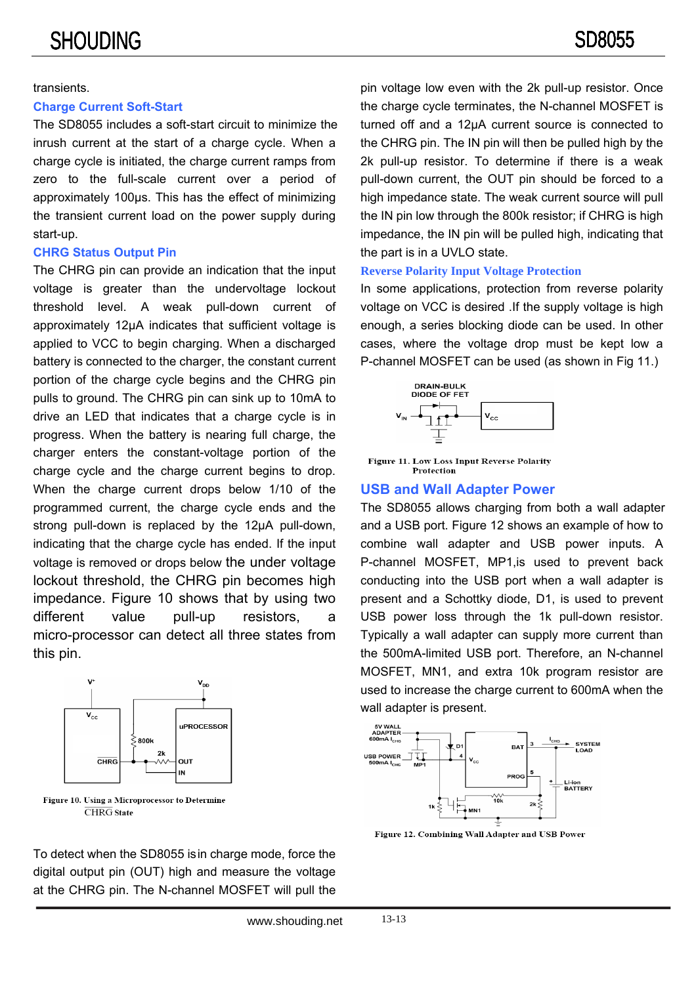#### transients.

#### **Charge Current Soft-Start**

The SD8055 includes a soft-start circuit to minimize the inrush current at the start of a charge cycle. When a charge cycle is initiated, the charge current ramps from zero to the full-scale current over a period of approximately 100µs. This has the effect of minimizing the transient current load on the power supply during start-up.

#### **CHRG Status Output Pin**

The CHRG pin can provide an indication that the input voltage is greater than the undervoltage lockout threshold level. A weak pull-down current of approximately 12µA indicates that sufficient voltage is applied to VCC to begin charging. When a discharged battery is connected to the charger, the constant current portion of the charge cycle begins and the CHRG pin pulls to ground. The CHRG pin can sink up to 10mA to drive an LED that indicates that a charge cycle is in progress. When the battery is nearing full charge, the charger enters the constant-voltage portion of the charge cycle and the charge current begins to drop. When the charge current drops below 1/10 of the programmed current, the charge cycle ends and the strong pull-down is replaced by the 12µA pull-down, indicating that the charge cycle has ended. If the input voltage is removed or drops below the under voltage lockout threshold, the CHRG pin becomes high impedance. Figure 10 shows that by using two different value pull-up resistors, a micro-processor can detect all three states from this pin.



Figure 10. Using a Microprocessor to Determine **CHRG** State

pin voltage low even with the 2k pull-up resistor. Once the charge cycle terminates, the N-channel MOSFET is turned off and a 12µA current source is connected to the CHRG pin. The IN pin will then be pulled high by the 2k pull-up resistor. To determine if there is a weak pull-down current, the OUT pin should be forced to a high impedance state. The weak current source will pull the IN pin low through the 800k resistor; if CHRG is high impedance, the IN pin will be pulled high, indicating that the part is in a UVLO state.

#### **Reverse Polarity Input Voltage Protection**

In some applications, protection from reverse polarity voltage on VCC is desired .If the supply voltage is high enough, a series blocking diode can be used. In other cases, where the voltage drop must be kept low a P-channel MOSFET can be used (as shown in Fig 11.)



**Figure 11. Low Loss Input Reverse Polarity Protection** 

#### **USB and Wall Adapter Power**

The SD8055 allows charging from both a wall adapter and a USB port. Figure 12 shows an example of how to combine wall adapter and USB power inputs. A P-channel MOSFET, MP1,is used to prevent back conducting into the USB port when a wall adapter is present and a Schottky diode, D1, is used to prevent USB power loss through the 1k pull-down resistor. Typically a wall adapter can supply more current than the 500mA-limited USB port. Therefore, an N-channel MOSFET, MN1, and extra 10k program resistor are used to increase the charge current to 600mA when the wall adapter is present.





To detect when the SD8055 is in charge mode, force the digital output pin (OUT) high and measure the voltage at the CHRG pin. The N-channel MOSFET will pull the